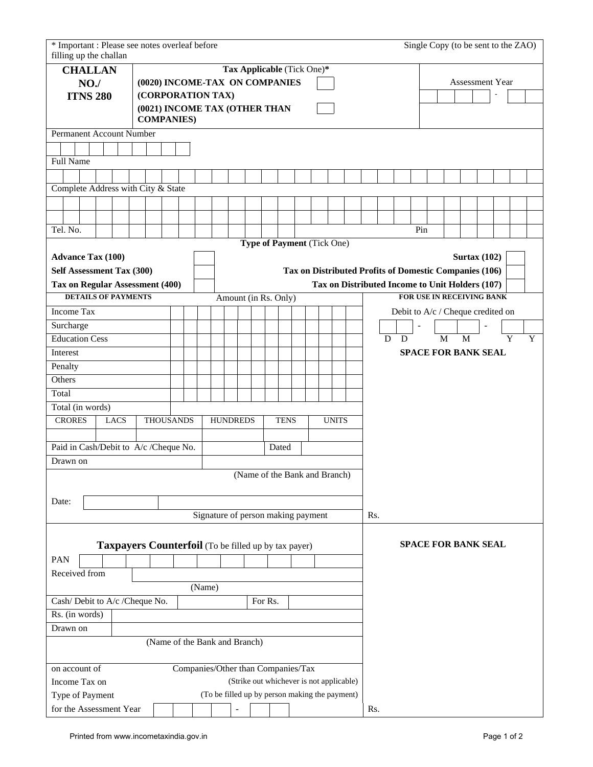| * Important : Please see notes overleaf before<br>filling up the challan |                                                                                                 |  |                                                     |                               |                                    |  |                                |  |       |  |                                                 |                                                        |              |  | Single Copy (to be sent to the ZAO) |                     |  |        |  |  |
|--------------------------------------------------------------------------|-------------------------------------------------------------------------------------------------|--|-----------------------------------------------------|-------------------------------|------------------------------------|--|--------------------------------|--|-------|--|-------------------------------------------------|--------------------------------------------------------|--------------|--|-------------------------------------|---------------------|--|--------|--|--|
|                                                                          |                                                                                                 |  |                                                     |                               |                                    |  | Tax Applicable (Tick One)*     |  |       |  |                                                 |                                                        |              |  |                                     |                     |  |        |  |  |
| <b>CHALLAN</b>                                                           |                                                                                                 |  |                                                     |                               |                                    |  |                                |  |       |  |                                                 | Assessment Year                                        |              |  |                                     |                     |  |        |  |  |
| NO.                                                                      |                                                                                                 |  | (0020) INCOME-TAX ON COMPANIES<br>(CORPORATION TAX) |                               |                                    |  |                                |  |       |  |                                                 |                                                        |              |  |                                     |                     |  |        |  |  |
| <b>ITNS 280</b>                                                          |                                                                                                 |  |                                                     | (0021) INCOME TAX (OTHER THAN |                                    |  |                                |  |       |  |                                                 |                                                        |              |  |                                     |                     |  |        |  |  |
| <b>COMPANIES)</b>                                                        |                                                                                                 |  |                                                     |                               |                                    |  |                                |  |       |  |                                                 |                                                        |              |  |                                     |                     |  |        |  |  |
| Permanent Account Number                                                 |                                                                                                 |  |                                                     |                               |                                    |  |                                |  |       |  |                                                 |                                                        |              |  |                                     |                     |  |        |  |  |
| Full Name                                                                |                                                                                                 |  |                                                     |                               |                                    |  |                                |  |       |  |                                                 |                                                        |              |  |                                     |                     |  |        |  |  |
|                                                                          |                                                                                                 |  |                                                     |                               |                                    |  |                                |  |       |  |                                                 |                                                        |              |  |                                     |                     |  |        |  |  |
| Complete Address with City & State                                       |                                                                                                 |  |                                                     |                               |                                    |  |                                |  |       |  |                                                 |                                                        |              |  |                                     |                     |  |        |  |  |
|                                                                          |                                                                                                 |  |                                                     |                               |                                    |  |                                |  |       |  |                                                 |                                                        |              |  |                                     |                     |  |        |  |  |
|                                                                          |                                                                                                 |  |                                                     |                               |                                    |  |                                |  |       |  |                                                 |                                                        |              |  |                                     |                     |  |        |  |  |
| Tel. No.                                                                 |                                                                                                 |  |                                                     |                               |                                    |  |                                |  |       |  |                                                 |                                                        |              |  | Pin                                 |                     |  |        |  |  |
|                                                                          |                                                                                                 |  |                                                     |                               |                                    |  | Type of Payment (Tick One)     |  |       |  |                                                 |                                                        |              |  |                                     |                     |  |        |  |  |
| <b>Advance Tax (100)</b>                                                 |                                                                                                 |  |                                                     |                               |                                    |  |                                |  |       |  |                                                 |                                                        |              |  |                                     | <b>Surtax (102)</b> |  |        |  |  |
| Self Assessment Tax (300)                                                |                                                                                                 |  |                                                     |                               |                                    |  |                                |  |       |  |                                                 | Tax on Distributed Profits of Domestic Companies (106) |              |  |                                     |                     |  |        |  |  |
| Tax on Regular Assessment (400)                                          |                                                                                                 |  |                                                     |                               |                                    |  |                                |  |       |  | Tax on Distributed Income to Unit Holders (107) |                                                        |              |  |                                     |                     |  |        |  |  |
| <b>DETAILS OF PAYMENTS</b><br>Amount (in Rs. Only)                       |                                                                                                 |  |                                                     |                               |                                    |  |                                |  |       |  |                                                 |                                                        |              |  | FOR USE IN RECEIVING BANK           |                     |  |        |  |  |
| Income Tax                                                               |                                                                                                 |  |                                                     |                               |                                    |  |                                |  |       |  |                                                 |                                                        |              |  | Debit to A/c / Cheque credited on   |                     |  |        |  |  |
| Surcharge                                                                |                                                                                                 |  |                                                     |                               |                                    |  |                                |  |       |  |                                                 |                                                        |              |  |                                     |                     |  |        |  |  |
| <b>Education Cess</b>                                                    |                                                                                                 |  |                                                     |                               |                                    |  |                                |  |       |  |                                                 |                                                        |              |  | M<br>D<br>D                         | M                   |  | Y<br>Y |  |  |
| Interest                                                                 |                                                                                                 |  |                                                     |                               |                                    |  |                                |  |       |  |                                                 |                                                        |              |  | <b>SPACE FOR BANK SEAL</b>          |                     |  |        |  |  |
| Penalty                                                                  |                                                                                                 |  |                                                     |                               |                                    |  |                                |  |       |  |                                                 |                                                        |              |  |                                     |                     |  |        |  |  |
| Others                                                                   |                                                                                                 |  |                                                     |                               |                                    |  |                                |  |       |  |                                                 |                                                        |              |  |                                     |                     |  |        |  |  |
| Total                                                                    |                                                                                                 |  |                                                     |                               |                                    |  |                                |  |       |  |                                                 |                                                        |              |  |                                     |                     |  |        |  |  |
| Total (in words)                                                         |                                                                                                 |  |                                                     |                               |                                    |  |                                |  |       |  |                                                 |                                                        |              |  |                                     |                     |  |        |  |  |
| <b>CRORES</b><br><b>THOUSANDS</b><br><b>LACS</b>                         |                                                                                                 |  |                                                     |                               |                                    |  | <b>HUNDREDS</b><br><b>TENS</b> |  |       |  |                                                 |                                                        | <b>UNITS</b> |  |                                     |                     |  |        |  |  |
|                                                                          |                                                                                                 |  |                                                     |                               |                                    |  |                                |  |       |  |                                                 |                                                        |              |  |                                     |                     |  |        |  |  |
| Paid in Cash/Debit to A/c /Cheque No.                                    |                                                                                                 |  |                                                     |                               |                                    |  |                                |  | Dated |  |                                                 |                                                        |              |  |                                     |                     |  |        |  |  |
| Drawn on                                                                 |                                                                                                 |  |                                                     |                               |                                    |  |                                |  |       |  |                                                 |                                                        |              |  |                                     |                     |  |        |  |  |
|                                                                          |                                                                                                 |  |                                                     |                               |                                    |  | (Name of the Bank and Branch)  |  |       |  |                                                 |                                                        |              |  |                                     |                     |  |        |  |  |
| Date:                                                                    |                                                                                                 |  |                                                     |                               |                                    |  |                                |  |       |  |                                                 |                                                        |              |  |                                     |                     |  |        |  |  |
|                                                                          |                                                                                                 |  |                                                     |                               | Signature of person making payment |  |                                |  |       |  |                                                 |                                                        |              |  | Rs.                                 |                     |  |        |  |  |
|                                                                          |                                                                                                 |  |                                                     |                               |                                    |  |                                |  |       |  |                                                 |                                                        |              |  | <b>SPACE FOR BANK SEAL</b>          |                     |  |        |  |  |
| PAN                                                                      | <b>Taxpayers Counterfoil</b> (To be filled up by tax payer)                                     |  |                                                     |                               |                                    |  |                                |  |       |  |                                                 |                                                        |              |  |                                     |                     |  |        |  |  |
| Received from                                                            |                                                                                                 |  |                                                     |                               |                                    |  |                                |  |       |  |                                                 |                                                        |              |  |                                     |                     |  |        |  |  |
|                                                                          |                                                                                                 |  |                                                     |                               | (Name)                             |  |                                |  |       |  |                                                 |                                                        |              |  |                                     |                     |  |        |  |  |
| Cash/Debit to A/c /Cheque No.<br>For Rs.                                 |                                                                                                 |  |                                                     |                               |                                    |  |                                |  |       |  |                                                 |                                                        |              |  |                                     |                     |  |        |  |  |
| Rs. (in words)                                                           |                                                                                                 |  |                                                     |                               |                                    |  |                                |  |       |  |                                                 |                                                        |              |  |                                     |                     |  |        |  |  |
| Drawn on                                                                 |                                                                                                 |  |                                                     |                               |                                    |  |                                |  |       |  |                                                 |                                                        |              |  |                                     |                     |  |        |  |  |
|                                                                          |                                                                                                 |  |                                                     |                               | (Name of the Bank and Branch)      |  |                                |  |       |  |                                                 |                                                        |              |  |                                     |                     |  |        |  |  |
| on account of                                                            |                                                                                                 |  |                                                     |                               |                                    |  |                                |  |       |  |                                                 |                                                        |              |  |                                     |                     |  |        |  |  |
|                                                                          | Companies/Other than Companies/Tax<br>(Strike out whichever is not applicable)<br>Income Tax on |  |                                                     |                               |                                    |  |                                |  |       |  |                                                 |                                                        |              |  |                                     |                     |  |        |  |  |
|                                                                          | (To be filled up by person making the payment)<br>Type of Payment                               |  |                                                     |                               |                                    |  |                                |  |       |  |                                                 |                                                        |              |  |                                     |                     |  |        |  |  |
| for the Assessment Year                                                  |                                                                                                 |  |                                                     |                               |                                    |  |                                |  |       |  |                                                 |                                                        |              |  | Rs.                                 |                     |  |        |  |  |